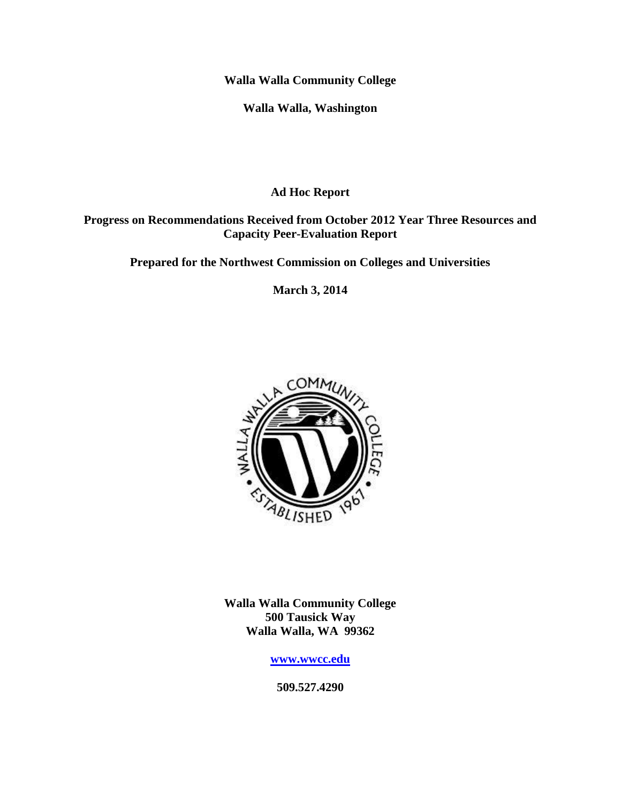**Walla Walla Community College**

**Walla Walla, Washington**

**Ad Hoc Report** 

### **Progress on Recommendations Received from October 2012 Year Three Resources and Capacity Peer-Evaluation Report**

**Prepared for the Northwest Commission on Colleges and Universities**

**March 3, 2014**



**Walla Walla Community College 500 Tausick Way Walla Walla, WA 99362**

**[www.wwcc.edu](http://www.wwcc.edu/)**

**509.527.4290**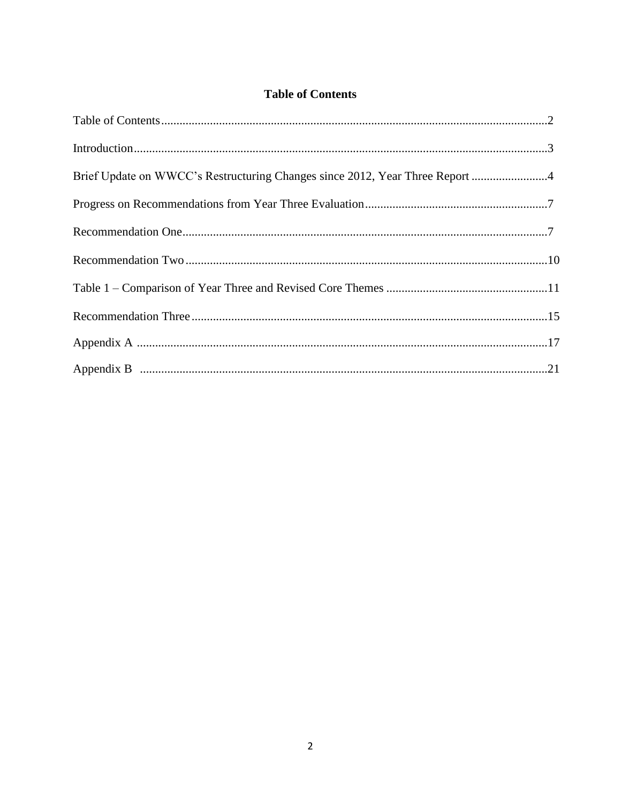## **Table of Contents**

| Brief Update on WWCC's Restructuring Changes since 2012, Year Three Report 4 |  |
|------------------------------------------------------------------------------|--|
|                                                                              |  |
|                                                                              |  |
|                                                                              |  |
|                                                                              |  |
|                                                                              |  |
|                                                                              |  |
|                                                                              |  |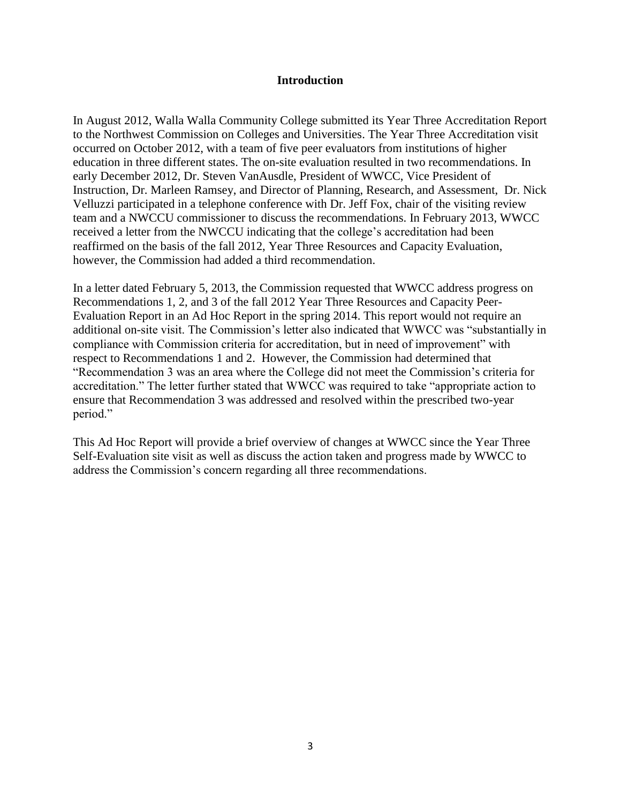#### **Introduction**

In August 2012, Walla Walla Community College submitted its Year Three Accreditation Report to the Northwest Commission on Colleges and Universities. The Year Three Accreditation visit occurred on October 2012, with a team of five peer evaluators from institutions of higher education in three different states. The on-site evaluation resulted in two recommendations. In early December 2012, Dr. Steven VanAusdle, President of WWCC, Vice President of Instruction, Dr. Marleen Ramsey, and Director of Planning, Research, and Assessment, Dr. Nick Velluzzi participated in a telephone conference with Dr. Jeff Fox, chair of the visiting review team and a NWCCU commissioner to discuss the recommendations. In February 2013, WWCC received a letter from the NWCCU indicating that the college's accreditation had been reaffirmed on the basis of the fall 2012, Year Three Resources and Capacity Evaluation, however, the Commission had added a third recommendation.

In a letter dated February 5, 2013, the Commission requested that WWCC address progress on Recommendations 1, 2, and 3 of the fall 2012 Year Three Resources and Capacity Peer-Evaluation Report in an Ad Hoc Report in the spring 2014. This report would not require an additional on-site visit. The Commission's letter also indicated that WWCC was "substantially in compliance with Commission criteria for accreditation, but in need of improvement" with respect to Recommendations 1 and 2. However, the Commission had determined that "Recommendation 3 was an area where the College did not meet the Commission's criteria for accreditation." The letter further stated that WWCC was required to take "appropriate action to ensure that Recommendation 3 was addressed and resolved within the prescribed two-year period."

This Ad Hoc Report will provide a brief overview of changes at WWCC since the Year Three Self-Evaluation site visit as well as discuss the action taken and progress made by WWCC to address the Commission's concern regarding all three recommendations.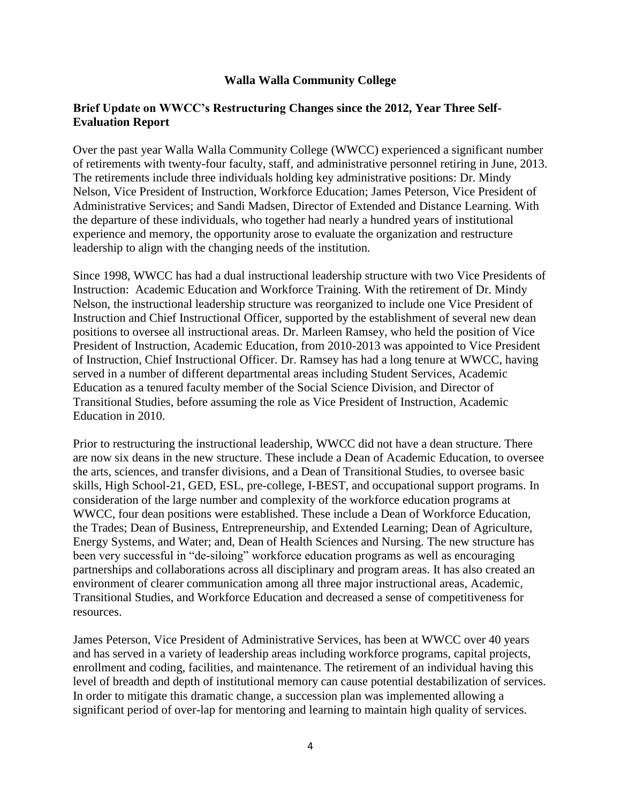### **Walla Walla Community College**

### **Brief Update on WWCC's Restructuring Changes since the 2012, Year Three Self-Evaluation Report**

Over the past year Walla Walla Community College (WWCC) experienced a significant number of retirements with twenty-four faculty, staff, and administrative personnel retiring in June, 2013. The retirements include three individuals holding key administrative positions: Dr. Mindy Nelson, Vice President of Instruction, Workforce Education; James Peterson, Vice President of Administrative Services; and Sandi Madsen, Director of Extended and Distance Learning. With the departure of these individuals, who together had nearly a hundred years of institutional experience and memory, the opportunity arose to evaluate the organization and restructure leadership to align with the changing needs of the institution.

Since 1998, WWCC has had a dual instructional leadership structure with two Vice Presidents of Instruction: Academic Education and Workforce Training. With the retirement of Dr. Mindy Nelson, the instructional leadership structure was reorganized to include one Vice President of Instruction and Chief Instructional Officer, supported by the establishment of several new dean positions to oversee all instructional areas. Dr. Marleen Ramsey, who held the position of Vice President of Instruction, Academic Education, from 2010-2013 was appointed to Vice President of Instruction, Chief Instructional Officer. Dr. Ramsey has had a long tenure at WWCC, having served in a number of different departmental areas including Student Services, Academic Education as a tenured faculty member of the Social Science Division, and Director of Transitional Studies, before assuming the role as Vice President of Instruction, Academic Education in 2010.

Prior to restructuring the instructional leadership, WWCC did not have a dean structure. There are now six deans in the new structure. These include a Dean of Academic Education, to oversee the arts, sciences, and transfer divisions, and a Dean of Transitional Studies, to oversee basic skills, High School-21, GED, ESL, pre-college, I-BEST, and occupational support programs. In consideration of the large number and complexity of the workforce education programs at WWCC, four dean positions were established. These include a Dean of Workforce Education, the Trades; Dean of Business, Entrepreneurship, and Extended Learning; Dean of Agriculture, Energy Systems, and Water; and, Dean of Health Sciences and Nursing. The new structure has been very successful in "de-siloing" workforce education programs as well as encouraging partnerships and collaborations across all disciplinary and program areas. It has also created an environment of clearer communication among all three major instructional areas, Academic, Transitional Studies, and Workforce Education and decreased a sense of competitiveness for resources.

James Peterson, Vice President of Administrative Services, has been at WWCC over 40 years and has served in a variety of leadership areas including workforce programs, capital projects, enrollment and coding, facilities, and maintenance. The retirement of an individual having this level of breadth and depth of institutional memory can cause potential destabilization of services. In order to mitigate this dramatic change, a succession plan was implemented allowing a significant period of over-lap for mentoring and learning to maintain high quality of services.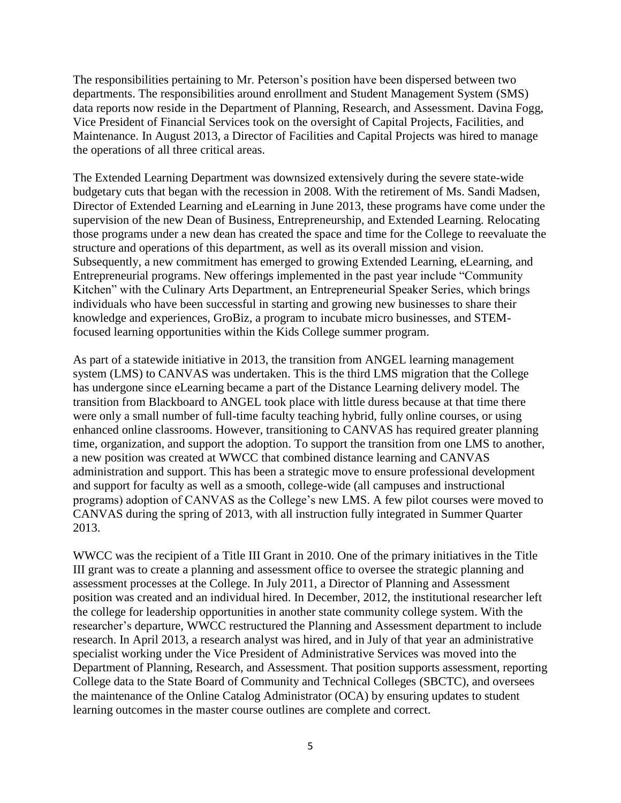The responsibilities pertaining to Mr. Peterson's position have been dispersed between two departments. The responsibilities around enrollment and Student Management System (SMS) data reports now reside in the Department of Planning, Research, and Assessment. Davina Fogg, Vice President of Financial Services took on the oversight of Capital Projects, Facilities, and Maintenance. In August 2013, a Director of Facilities and Capital Projects was hired to manage the operations of all three critical areas.

The Extended Learning Department was downsized extensively during the severe state-wide budgetary cuts that began with the recession in 2008. With the retirement of Ms. Sandi Madsen, Director of Extended Learning and eLearning in June 2013, these programs have come under the supervision of the new Dean of Business, Entrepreneurship, and Extended Learning. Relocating those programs under a new dean has created the space and time for the College to reevaluate the structure and operations of this department, as well as its overall mission and vision. Subsequently, a new commitment has emerged to growing Extended Learning, eLearning, and Entrepreneurial programs. New offerings implemented in the past year include "Community Kitchen" with the Culinary Arts Department, an Entrepreneurial Speaker Series, which brings individuals who have been successful in starting and growing new businesses to share their knowledge and experiences, GroBiz, a program to incubate micro businesses, and STEMfocused learning opportunities within the Kids College summer program.

As part of a statewide initiative in 2013, the transition from ANGEL learning management system (LMS) to CANVAS was undertaken. This is the third LMS migration that the College has undergone since eLearning became a part of the Distance Learning delivery model. The transition from Blackboard to ANGEL took place with little duress because at that time there were only a small number of full-time faculty teaching hybrid, fully online courses, or using enhanced online classrooms. However, transitioning to CANVAS has required greater planning time, organization, and support the adoption. To support the transition from one LMS to another, a new position was created at WWCC that combined distance learning and CANVAS administration and support. This has been a strategic move to ensure professional development and support for faculty as well as a smooth, college-wide (all campuses and instructional programs) adoption of CANVAS as the College's new LMS. A few pilot courses were moved to CANVAS during the spring of 2013, with all instruction fully integrated in Summer Quarter 2013.

WWCC was the recipient of a Title III Grant in 2010. One of the primary initiatives in the Title III grant was to create a planning and assessment office to oversee the strategic planning and assessment processes at the College. In July 2011, a Director of Planning and Assessment position was created and an individual hired. In December, 2012, the institutional researcher left the college for leadership opportunities in another state community college system. With the researcher's departure, WWCC restructured the Planning and Assessment department to include research. In April 2013, a research analyst was hired, and in July of that year an administrative specialist working under the Vice President of Administrative Services was moved into the Department of Planning, Research, and Assessment. That position supports assessment, reporting College data to the State Board of Community and Technical Colleges (SBCTC), and oversees the maintenance of the Online Catalog Administrator (OCA) by ensuring updates to student learning outcomes in the master course outlines are complete and correct.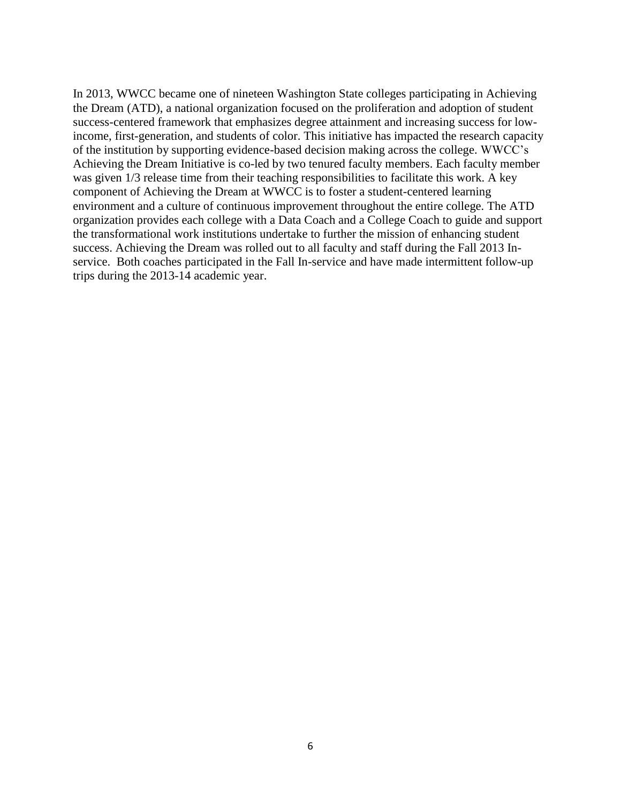In 2013, WWCC became one of nineteen Washington State colleges participating in Achieving the Dream (ATD), a national organization focused on the proliferation and adoption of student success-centered framework that emphasizes degree attainment and increasing success for lowincome, first-generation, and students of color. This initiative has impacted the research capacity of the institution by supporting evidence-based decision making across the college. WWCC's Achieving the Dream Initiative is co-led by two tenured faculty members. Each faculty member was given 1/3 release time from their teaching responsibilities to facilitate this work. A key component of Achieving the Dream at WWCC is to foster a student-centered learning environment and a culture of continuous improvement throughout the entire college. The ATD organization provides each college with a Data Coach and a College Coach to guide and support the transformational work institutions undertake to further the mission of enhancing student success. Achieving the Dream was rolled out to all faculty and staff during the Fall 2013 Inservice. Both coaches participated in the Fall In-service and have made intermittent follow-up trips during the 2013-14 academic year.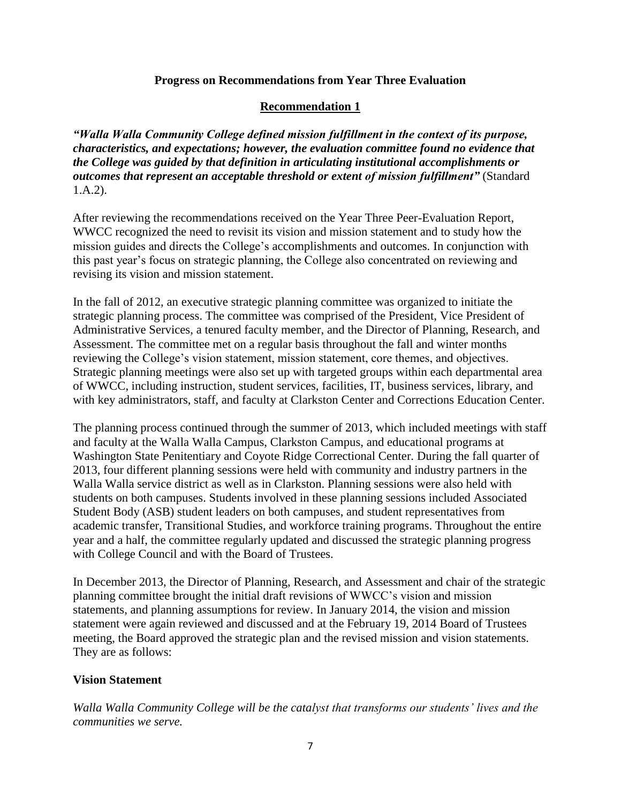### **Progress on Recommendations from Year Three Evaluation**

### **Recommendation 1**

*"Walla Walla Community College defined mission fulfillment in the context of its purpose, characteristics, and expectations; however, the evaluation committee found no evidence that the College was guided by that definition in articulating institutional accomplishments or outcomes that represent an acceptable threshold or extent of mission fulfillment"* (Standard 1.A.2).

After reviewing the recommendations received on the Year Three Peer-Evaluation Report, WWCC recognized the need to revisit its vision and mission statement and to study how the mission guides and directs the College's accomplishments and outcomes. In conjunction with this past year's focus on strategic planning, the College also concentrated on reviewing and revising its vision and mission statement.

In the fall of 2012, an executive strategic planning committee was organized to initiate the strategic planning process. The committee was comprised of the President, Vice President of Administrative Services, a tenured faculty member, and the Director of Planning, Research, and Assessment. The committee met on a regular basis throughout the fall and winter months reviewing the College's vision statement, mission statement, core themes, and objectives. Strategic planning meetings were also set up with targeted groups within each departmental area of WWCC, including instruction, student services, facilities, IT, business services, library, and with key administrators, staff, and faculty at Clarkston Center and Corrections Education Center.

The planning process continued through the summer of 2013, which included meetings with staff and faculty at the Walla Walla Campus, Clarkston Campus, and educational programs at Washington State Penitentiary and Coyote Ridge Correctional Center. During the fall quarter of 2013, four different planning sessions were held with community and industry partners in the Walla Walla service district as well as in Clarkston. Planning sessions were also held with students on both campuses. Students involved in these planning sessions included Associated Student Body (ASB) student leaders on both campuses, and student representatives from academic transfer, Transitional Studies, and workforce training programs. Throughout the entire year and a half, the committee regularly updated and discussed the strategic planning progress with College Council and with the Board of Trustees.

In December 2013, the Director of Planning, Research, and Assessment and chair of the strategic planning committee brought the initial draft revisions of WWCC's vision and mission statements, and planning assumptions for review. In January 2014, the vision and mission statement were again reviewed and discussed and at the February 19, 2014 Board of Trustees meeting, the Board approved the strategic plan and the revised mission and vision statements. They are as follows:

### **Vision Statement**

*Walla Walla Community College will be the catalyst that transforms our students' lives and the communities we serve.*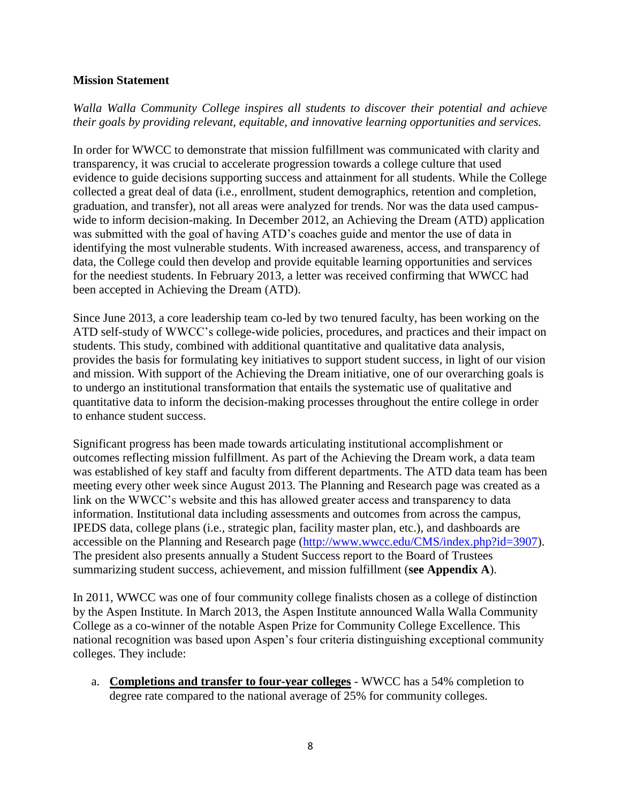### **Mission Statement**

*Walla Walla Community College inspires all students to discover their potential and achieve their goals by providing relevant, equitable, and innovative learning opportunities and services.*

In order for WWCC to demonstrate that mission fulfillment was communicated with clarity and transparency, it was crucial to accelerate progression towards a college culture that used evidence to guide decisions supporting success and attainment for all students. While the College collected a great deal of data (i.e., enrollment, student demographics, retention and completion, graduation, and transfer), not all areas were analyzed for trends. Nor was the data used campuswide to inform decision-making. In December 2012, an Achieving the Dream (ATD) application was submitted with the goal of having ATD's coaches guide and mentor the use of data in identifying the most vulnerable students. With increased awareness, access, and transparency of data, the College could then develop and provide equitable learning opportunities and services for the neediest students. In February 2013, a letter was received confirming that WWCC had been accepted in Achieving the Dream (ATD).

Since June 2013, a core leadership team co-led by two tenured faculty, has been working on the ATD self-study of WWCC's college-wide policies, procedures, and practices and their impact on students. This study, combined with additional quantitative and qualitative data analysis, provides the basis for formulating key initiatives to support student success, in light of our vision and mission. With support of the Achieving the Dream initiative, one of our overarching goals is to undergo an institutional transformation that entails the systematic use of qualitative and quantitative data to inform the decision-making processes throughout the entire college in order to enhance student success.

Significant progress has been made towards articulating institutional accomplishment or outcomes reflecting mission fulfillment. As part of the Achieving the Dream work, a data team was established of key staff and faculty from different departments. The ATD data team has been meeting every other week since August 2013. The Planning and Research page was created as a link on the WWCC's website and this has allowed greater access and transparency to data information. Institutional data including assessments and outcomes from across the campus, IPEDS data, college plans (i.e., strategic plan, facility master plan, etc.), and dashboards are accessible on the Planning and Research page [\(http://www.wwcc.edu/CMS/index.php?id=3907\)](http://www.wwcc.edu/CMS/index.php?id=3907). The president also presents annually a Student Success report to the Board of Trustees summarizing student success, achievement, and mission fulfillment (**see Appendix A**).

In 2011, WWCC was one of four community college finalists chosen as a college of distinction by the Aspen Institute. In March 2013, the Aspen Institute announced Walla Walla Community College as a co-winner of the notable Aspen Prize for Community College Excellence. This national recognition was based upon Aspen's four criteria distinguishing exceptional community colleges. They include:

a. **Completions and transfer to four-year colleges** - WWCC has a 54% completion to degree rate compared to the national average of 25% for community colleges.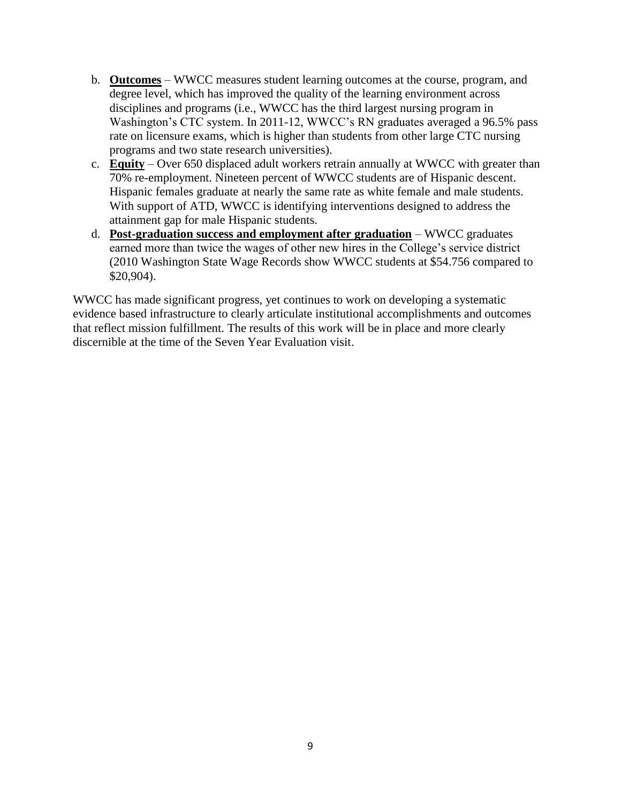- b. **Outcomes** WWCC measures student learning outcomes at the course, program, and degree level, which has improved the quality of the learning environment across disciplines and programs (i.e., WWCC has the third largest nursing program in Washington's CTC system. In 2011-12, WWCC's RN graduates averaged a 96.5% pass rate on licensure exams, which is higher than students from other large CTC nursing programs and two state research universities).
- c. **Equity** Over 650 displaced adult workers retrain annually at WWCC with greater than 70% re-employment. Nineteen percent of WWCC students are of Hispanic descent. Hispanic females graduate at nearly the same rate as white female and male students. With support of ATD, WWCC is identifying interventions designed to address the attainment gap for male Hispanic students.
- d. **Post-graduation success and employment after graduation** WWCC graduates earned more than twice the wages of other new hires in the College's service district (2010 Washington State Wage Records show WWCC students at \$54.756 compared to \$20,904).

WWCC has made significant progress, yet continues to work on developing a systematic evidence based infrastructure to clearly articulate institutional accomplishments and outcomes that reflect mission fulfillment. The results of this work will be in place and more clearly discernible at the time of the Seven Year Evaluation visit.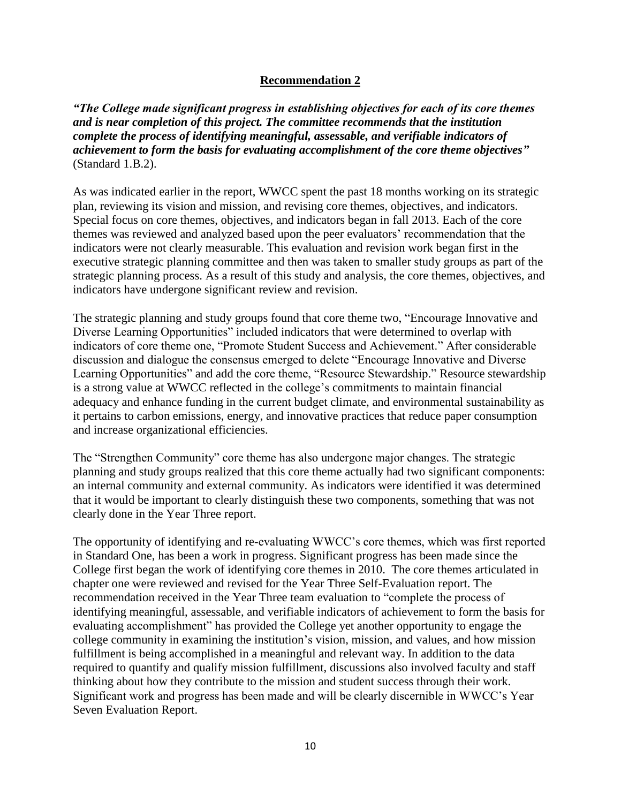### **Recommendation 2**

*"The College made significant progress in establishing objectives for each of its core themes and is near completion of this project. The committee recommends that the institution complete the process of identifying meaningful, assessable, and verifiable indicators of achievement to form the basis for evaluating accomplishment of the core theme objectives"* (Standard 1.B.2).

As was indicated earlier in the report, WWCC spent the past 18 months working on its strategic plan, reviewing its vision and mission, and revising core themes, objectives, and indicators. Special focus on core themes, objectives, and indicators began in fall 2013. Each of the core themes was reviewed and analyzed based upon the peer evaluators' recommendation that the indicators were not clearly measurable. This evaluation and revision work began first in the executive strategic planning committee and then was taken to smaller study groups as part of the strategic planning process. As a result of this study and analysis, the core themes, objectives, and indicators have undergone significant review and revision.

The strategic planning and study groups found that core theme two, "Encourage Innovative and Diverse Learning Opportunities" included indicators that were determined to overlap with indicators of core theme one, "Promote Student Success and Achievement." After considerable discussion and dialogue the consensus emerged to delete "Encourage Innovative and Diverse Learning Opportunities" and add the core theme, "Resource Stewardship." Resource stewardship is a strong value at WWCC reflected in the college's commitments to maintain financial adequacy and enhance funding in the current budget climate, and environmental sustainability as it pertains to carbon emissions, energy, and innovative practices that reduce paper consumption and increase organizational efficiencies.

The "Strengthen Community" core theme has also undergone major changes. The strategic planning and study groups realized that this core theme actually had two significant components: an internal community and external community. As indicators were identified it was determined that it would be important to clearly distinguish these two components, something that was not clearly done in the Year Three report.

The opportunity of identifying and re-evaluating WWCC's core themes, which was first reported in Standard One, has been a work in progress. Significant progress has been made since the College first began the work of identifying core themes in 2010. The core themes articulated in chapter one were reviewed and revised for the Year Three Self-Evaluation report. The recommendation received in the Year Three team evaluation to "complete the process of identifying meaningful, assessable, and verifiable indicators of achievement to form the basis for evaluating accomplishment" has provided the College yet another opportunity to engage the college community in examining the institution's vision, mission, and values, and how mission fulfillment is being accomplished in a meaningful and relevant way. In addition to the data required to quantify and qualify mission fulfillment, discussions also involved faculty and staff thinking about how they contribute to the mission and student success through their work. Significant work and progress has been made and will be clearly discernible in WWCC's Year Seven Evaluation Report.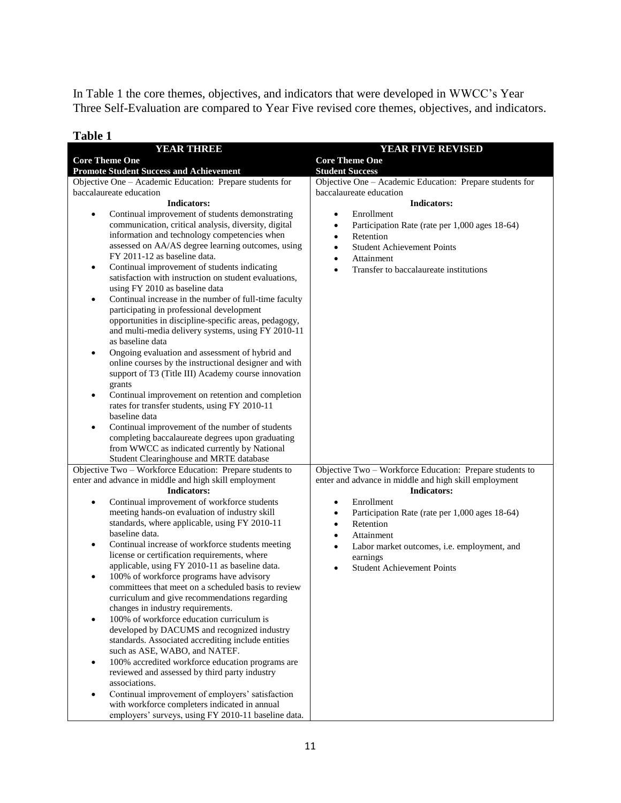In Table 1 the core themes, objectives, and indicators that were developed in WWCC's Year Three Self-Evaluation are compared to Year Five revised core themes, objectives, and indicators.

| 1 avit 1<br><b>YEAR THREE</b>                                                  | YEAR FIVE REVISED                                           |  |  |  |
|--------------------------------------------------------------------------------|-------------------------------------------------------------|--|--|--|
| <b>Core Theme One</b>                                                          | <b>Core Theme One</b>                                       |  |  |  |
| <b>Promote Student Success and Achievement</b>                                 | <b>Student Success</b>                                      |  |  |  |
| Objective One - Academic Education: Prepare students for                       | Objective One - Academic Education: Prepare students for    |  |  |  |
| baccalaureate education                                                        | baccalaureate education                                     |  |  |  |
| <b>Indicators:</b>                                                             | <b>Indicators:</b>                                          |  |  |  |
| Continual improvement of students demonstrating<br>$\bullet$                   | Enrollment<br>$\bullet$                                     |  |  |  |
| communication, critical analysis, diversity, digital                           | Participation Rate (rate per 1,000 ages 18-64)<br>$\bullet$ |  |  |  |
| information and technology competencies when                                   | Retention<br>$\bullet$                                      |  |  |  |
| assessed on AA/AS degree learning outcomes, using                              | <b>Student Achievement Points</b><br>$\bullet$              |  |  |  |
| FY 2011-12 as baseline data.                                                   | Attainment<br>$\bullet$                                     |  |  |  |
| Continual improvement of students indicating<br>$\bullet$                      | Transfer to baccalaureate institutions<br>$\bullet$         |  |  |  |
| satisfaction with instruction on student evaluations,                          |                                                             |  |  |  |
| using FY 2010 as baseline data                                                 |                                                             |  |  |  |
| Continual increase in the number of full-time faculty<br>$\bullet$             |                                                             |  |  |  |
| participating in professional development                                      |                                                             |  |  |  |
| opportunities in discipline-specific areas, pedagogy,                          |                                                             |  |  |  |
| and multi-media delivery systems, using FY 2010-11                             |                                                             |  |  |  |
| as baseline data                                                               |                                                             |  |  |  |
| Ongoing evaluation and assessment of hybrid and<br>$\bullet$                   |                                                             |  |  |  |
| online courses by the instructional designer and with                          |                                                             |  |  |  |
| support of T3 (Title III) Academy course innovation                            |                                                             |  |  |  |
| grants                                                                         |                                                             |  |  |  |
| Continual improvement on retention and completion<br>$\bullet$                 |                                                             |  |  |  |
| rates for transfer students, using FY 2010-11                                  |                                                             |  |  |  |
| baseline data                                                                  |                                                             |  |  |  |
| Continual improvement of the number of students<br>$\bullet$                   |                                                             |  |  |  |
| completing baccalaureate degrees upon graduating                               |                                                             |  |  |  |
| from WWCC as indicated currently by National                                   |                                                             |  |  |  |
| Student Clearinghouse and MRTE database                                        |                                                             |  |  |  |
| Objective Two - Workforce Education: Prepare students to                       | Objective Two - Workforce Education: Prepare students to    |  |  |  |
| enter and advance in middle and high skill employment                          | enter and advance in middle and high skill employment       |  |  |  |
| <b>Indicators:</b>                                                             | <b>Indicators:</b>                                          |  |  |  |
| Continual improvement of workforce students<br>$\bullet$                       | Enrollment<br>٠                                             |  |  |  |
| meeting hands-on evaluation of industry skill                                  | Participation Rate (rate per 1,000 ages 18-64)<br>٠         |  |  |  |
| standards, where applicable, using FY 2010-11                                  | Retention<br>$\bullet$                                      |  |  |  |
| baseline data.                                                                 | Attainment<br>٠                                             |  |  |  |
| Continual increase of workforce students meeting<br>$\bullet$                  | Labor market outcomes, i.e. employment, and<br>$\bullet$    |  |  |  |
| license or certification requirements, where                                   | earnings                                                    |  |  |  |
| applicable, using FY 2010-11 as baseline data.                                 | <b>Student Achievement Points</b><br>$\bullet$              |  |  |  |
| 100% of workforce programs have advisory                                       |                                                             |  |  |  |
| committees that meet on a scheduled basis to review                            |                                                             |  |  |  |
| curriculum and give recommendations regarding                                  |                                                             |  |  |  |
| changes in industry requirements.<br>100% of workforce education curriculum is |                                                             |  |  |  |
| developed by DACUMS and recognized industry                                    |                                                             |  |  |  |
| standards. Associated accrediting include entities                             |                                                             |  |  |  |
| such as ASE, WABO, and NATEF.                                                  |                                                             |  |  |  |
| 100% accredited workforce education programs are<br>$\bullet$                  |                                                             |  |  |  |
| reviewed and assessed by third party industry                                  |                                                             |  |  |  |
| associations.                                                                  |                                                             |  |  |  |
| Continual improvement of employers' satisfaction<br>$\bullet$                  |                                                             |  |  |  |
| with workforce completers indicated in annual                                  |                                                             |  |  |  |
| employers' surveys, using FY 2010-11 baseline data.                            |                                                             |  |  |  |

## **Table 1**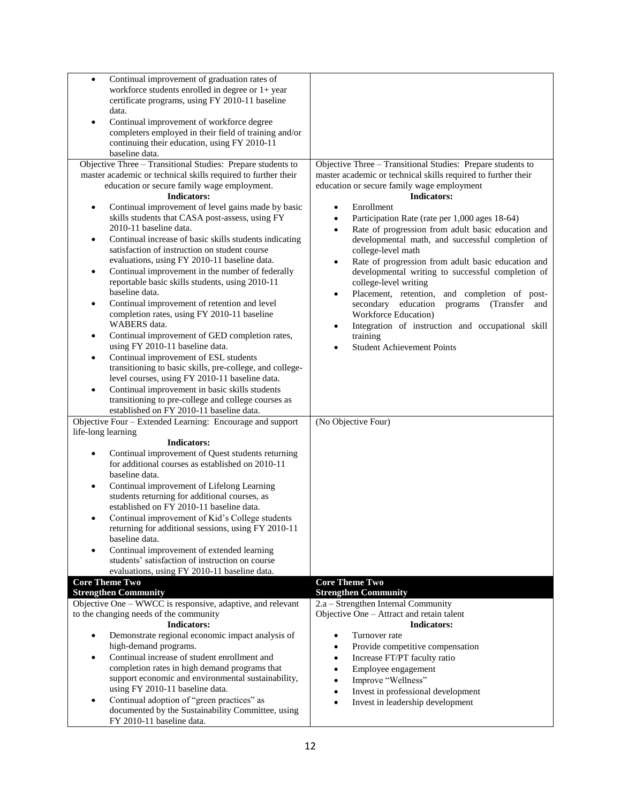| Continual improvement of graduation rates of<br>$\bullet$                      |                                                                 |
|--------------------------------------------------------------------------------|-----------------------------------------------------------------|
| workforce students enrolled in degree or $1+$ year                             |                                                                 |
| certificate programs, using FY 2010-11 baseline                                |                                                                 |
| data.                                                                          |                                                                 |
| Continual improvement of workforce degree                                      |                                                                 |
| completers employed in their field of training and/or                          |                                                                 |
| continuing their education, using FY 2010-11                                   |                                                                 |
| baseline data.                                                                 |                                                                 |
| Objective Three - Transitional Studies: Prepare students to                    | Objective Three - Transitional Studies: Prepare students to     |
| master academic or technical skills required to further their                  | master academic or technical skills required to further their   |
| education or secure family wage employment.                                    | education or secure family wage employment                      |
| <b>Indicators:</b>                                                             | <b>Indicators:</b>                                              |
| Continual improvement of level gains made by basic<br>$\bullet$                | Enrollment<br>$\bullet$                                         |
| skills students that CASA post-assess, using FY                                |                                                                 |
| 2010-11 baseline data.                                                         | Participation Rate (rate per 1,000 ages 18-64)<br>$\bullet$     |
|                                                                                | Rate of progression from adult basic education and              |
| Continual increase of basic skills students indicating<br>$\bullet$            | developmental math, and successful completion of                |
| satisfaction of instruction on student course                                  | college-level math                                              |
| evaluations, using FY 2010-11 baseline data.                                   | Rate of progression from adult basic education and<br>$\bullet$ |
| Continual improvement in the number of federally<br>٠                          | developmental writing to successful completion of               |
| reportable basic skills students, using 2010-11                                | college-level writing                                           |
| baseline data.                                                                 | Placement, retention,<br>and completion of post-<br>$\bullet$   |
| Continual improvement of retention and level<br>$\bullet$                      | secondary education<br>programs (Transfer and                   |
| completion rates, using FY 2010-11 baseline                                    | Workforce Education)                                            |
| WABERS data.                                                                   | Integration of instruction and occupational skill<br>$\bullet$  |
| Continual improvement of GED completion rates,                                 | training                                                        |
| using FY 2010-11 baseline data.                                                | <b>Student Achievement Points</b><br>$\bullet$                  |
| Continual improvement of ESL students                                          |                                                                 |
| transitioning to basic skills, pre-college, and college-                       |                                                                 |
| level courses, using FY 2010-11 baseline data.                                 |                                                                 |
| Continual improvement in basic skills students                                 |                                                                 |
| transitioning to pre-college and college courses as                            |                                                                 |
| established on FY 2010-11 baseline data.                                       |                                                                 |
| Objective Four - Extended Learning: Encourage and support                      | (No Objective Four)                                             |
| life-long learning                                                             |                                                                 |
| <b>Indicators:</b>                                                             |                                                                 |
| Continual improvement of Quest students returning                              |                                                                 |
| for additional courses as established on 2010-11                               |                                                                 |
| baseline data.                                                                 |                                                                 |
| Continual improvement of Lifelong Learning<br>$\bullet$                        |                                                                 |
| students returning for additional courses, as                                  |                                                                 |
| established on FY 2010-11 baseline data.                                       |                                                                 |
|                                                                                |                                                                 |
|                                                                                |                                                                 |
| Continual improvement of Kid's College students                                |                                                                 |
| returning for additional sessions, using FY 2010-11                            |                                                                 |
| baseline data.                                                                 |                                                                 |
| Continual improvement of extended learning<br>$\bullet$                        |                                                                 |
| students' satisfaction of instruction on course                                |                                                                 |
| evaluations, using FY 2010-11 baseline data.                                   |                                                                 |
| <b>Core Theme Two</b>                                                          | <b>Core Theme Two</b>                                           |
| <b>Strengthen Community</b>                                                    | <b>Strengthen Community</b>                                     |
| Objective One - WWCC is responsive, adaptive, and relevant                     | 2.a - Strengthen Internal Community                             |
| to the changing needs of the community                                         | Objective One - Attract and retain talent                       |
| <b>Indicators:</b>                                                             | <b>Indicators:</b>                                              |
| Demonstrate regional economic impact analysis of                               | Turnover rate                                                   |
| high-demand programs.                                                          | Provide competitive compensation<br>$\bullet$                   |
| Continual increase of student enrollment and<br>$\bullet$                      | Increase FT/PT faculty ratio<br>$\bullet$                       |
| completion rates in high demand programs that                                  | Employee engagement<br>$\bullet$                                |
| support economic and environmental sustainability,                             | Improve "Wellness"<br>$\bullet$                                 |
| using FY 2010-11 baseline data.                                                | Invest in professional development<br>$\bullet$                 |
| Continual adoption of "green practices" as<br>٠                                | Invest in leadership development<br>$\bullet$                   |
| documented by the Sustainability Committee, using<br>FY 2010-11 baseline data. |                                                                 |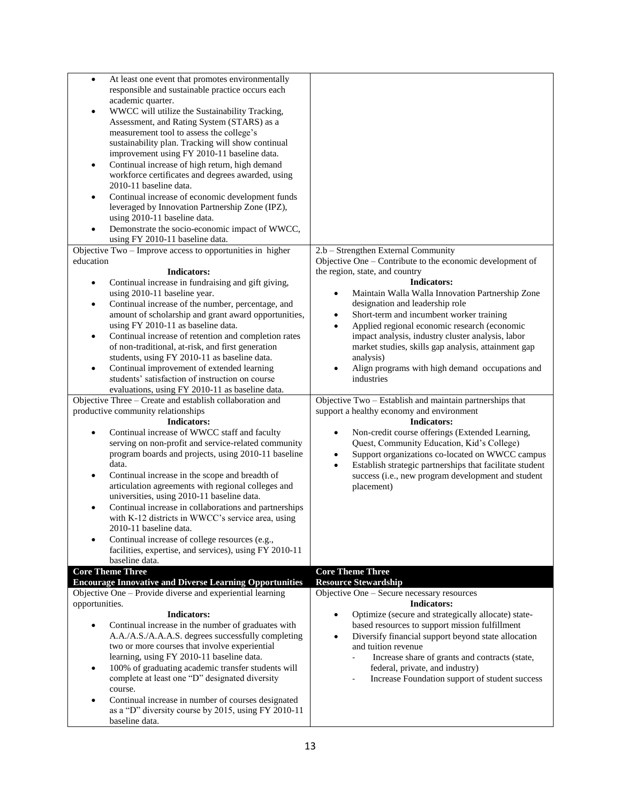| $\bullet$      | At least one event that promotes environmentally                      |                                                                            |
|----------------|-----------------------------------------------------------------------|----------------------------------------------------------------------------|
|                | responsible and sustainable practice occurs each                      |                                                                            |
|                | academic quarter.                                                     |                                                                            |
| $\bullet$      | WWCC will utilize the Sustainability Tracking,                        |                                                                            |
|                | Assessment, and Rating System (STARS) as a                            |                                                                            |
|                |                                                                       |                                                                            |
|                | measurement tool to assess the college's                              |                                                                            |
|                | sustainability plan. Tracking will show continual                     |                                                                            |
|                | improvement using FY 2010-11 baseline data.                           |                                                                            |
| $\bullet$      | Continual increase of high return, high demand                        |                                                                            |
|                | workforce certificates and degrees awarded, using                     |                                                                            |
|                | 2010-11 baseline data.                                                |                                                                            |
|                |                                                                       |                                                                            |
| $\bullet$      | Continual increase of economic development funds                      |                                                                            |
|                | leveraged by Innovation Partnership Zone (IPZ),                       |                                                                            |
|                | using 2010-11 baseline data.                                          |                                                                            |
|                | Demonstrate the socio-economic impact of WWCC,                        |                                                                            |
|                | using FY 2010-11 baseline data.                                       |                                                                            |
|                | Objective Two - Improve access to opportunities in higher             | 2.b - Strengthen External Community                                        |
| education      |                                                                       | Objective One – Contribute to the economic development of                  |
|                |                                                                       |                                                                            |
|                | <b>Indicators:</b>                                                    | the region, state, and country                                             |
| $\bullet$      | Continual increase in fundraising and gift giving,                    | <b>Indicators:</b>                                                         |
|                | using 2010-11 baseline year.                                          | Maintain Walla Walla Innovation Partnership Zone<br>$\bullet$              |
| $\bullet$      | Continual increase of the number, percentage, and                     | designation and leadership role                                            |
|                | amount of scholarship and grant award opportunities,                  | Short-term and incumbent worker training<br>$\bullet$                      |
|                | using FY 2010-11 as baseline data.                                    | Applied regional economic research (economic<br>$\bullet$                  |
|                | Continual increase of retention and completion rates                  | impact analysis, industry cluster analysis, labor                          |
| $\bullet$      |                                                                       |                                                                            |
|                | of non-traditional, at-risk, and first generation                     | market studies, skills gap analysis, attainment gap                        |
|                | students, using FY 2010-11 as baseline data.                          | analysis)                                                                  |
| $\bullet$      | Continual improvement of extended learning                            | Align programs with high demand occupations and<br>$\bullet$               |
|                | students' satisfaction of instruction on course                       | industries                                                                 |
|                | evaluations, using FY 2010-11 as baseline data.                       |                                                                            |
|                |                                                                       |                                                                            |
|                |                                                                       |                                                                            |
|                | Objective Three - Create and establish collaboration and              | Objective Two - Establish and maintain partnerships that                   |
|                | productive community relationships                                    | support a healthy economy and environment                                  |
|                | <b>Indicators:</b>                                                    | <b>Indicators:</b>                                                         |
| $\bullet$      | Continual increase of WWCC staff and faculty                          | Non-credit course offerings (Extended Learning,<br>$\bullet$               |
|                | serving on non-profit and service-related community                   | Quest, Community Education, Kid's College)                                 |
|                | program boards and projects, using 2010-11 baseline                   | Support organizations co-located on WWCC campus<br>$\bullet$               |
|                | data.                                                                 | Establish strategic partnerships that facilitate student<br>$\bullet$      |
| $\bullet$      | Continual increase in the scope and breadth of                        |                                                                            |
|                |                                                                       | success (i.e., new program development and student                         |
|                | articulation agreements with regional colleges and                    | placement)                                                                 |
|                | universities, using 2010-11 baseline data.                            |                                                                            |
| $\bullet$      | Continual increase in collaborations and partnerships                 |                                                                            |
|                | with K-12 districts in WWCC's service area, using                     |                                                                            |
|                | 2010-11 baseline data.                                                |                                                                            |
|                | Continual increase of college resources (e.g.,                        |                                                                            |
|                | facilities, expertise, and services), using FY 2010-11                |                                                                            |
|                | baseline data.                                                        |                                                                            |
|                | <b>Core Theme Three</b>                                               | <b>Core Theme Three</b>                                                    |
|                | <b>Encourage Innovative and Diverse Learning Opportunities</b>        | <b>Resource Stewardship</b>                                                |
|                |                                                                       |                                                                            |
|                | Objective One - Provide diverse and experiential learning             | Objective One - Secure necessary resources<br><b>Indicators:</b>           |
| opportunities. | <b>Indicators:</b>                                                    | $\bullet$                                                                  |
|                |                                                                       | Optimize (secure and strategically allocate) state-                        |
|                | Continual increase in the number of graduates with                    | based resources to support mission fulfillment                             |
|                | A.A./A.S./A.A.A.S. degrees successfully completing                    | Diversify financial support beyond state allocation<br>$\bullet$           |
|                | two or more courses that involve experiential                         | and tuition revenue                                                        |
|                | learning, using FY 2010-11 baseline data.                             | Increase share of grants and contracts (state,<br>$\overline{\phantom{a}}$ |
| ٠              | 100% of graduating academic transfer students will                    | federal, private, and industry)                                            |
|                | complete at least one "D" designated diversity                        | Increase Foundation support of student success                             |
|                | course.                                                               |                                                                            |
| $\bullet$      |                                                                       |                                                                            |
|                | Continual increase in number of courses designated                    |                                                                            |
|                | as a "D" diversity course by 2015, using FY 2010-11<br>baseline data. |                                                                            |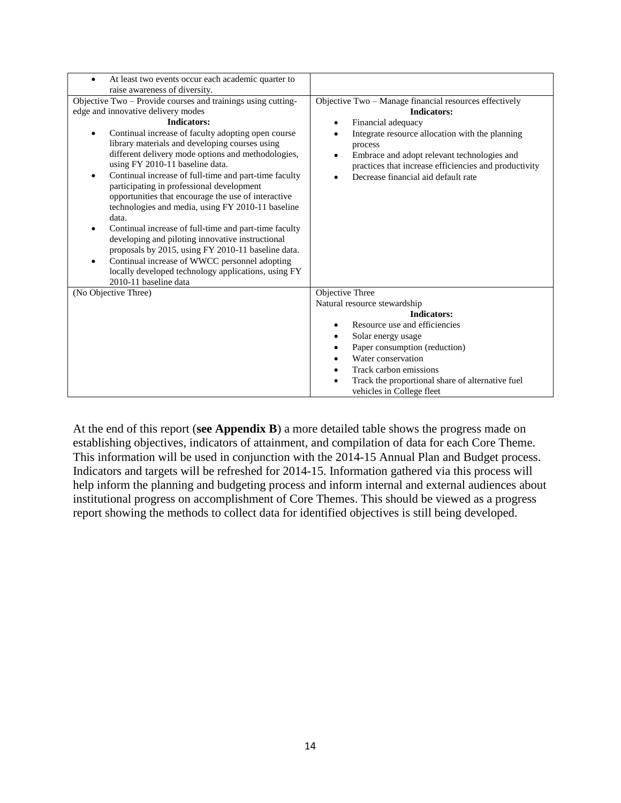| At least two events occur each academic quarter to<br>raise awareness of diversity.                                                                                                                                                                                                                                                                                                                                                                                                                                                                                                                                                                                                                                                                                                                                                                           |                                                                                                                                                                                                                                                                                                                 |
|---------------------------------------------------------------------------------------------------------------------------------------------------------------------------------------------------------------------------------------------------------------------------------------------------------------------------------------------------------------------------------------------------------------------------------------------------------------------------------------------------------------------------------------------------------------------------------------------------------------------------------------------------------------------------------------------------------------------------------------------------------------------------------------------------------------------------------------------------------------|-----------------------------------------------------------------------------------------------------------------------------------------------------------------------------------------------------------------------------------------------------------------------------------------------------------------|
| Objective Two - Provide courses and trainings using cutting-<br>edge and innovative delivery modes<br><b>Indicators:</b><br>Continual increase of faculty adopting open course<br>library materials and developing courses using<br>different delivery mode options and methodologies,<br>using FY 2010-11 baseline data.<br>Continual increase of full-time and part-time faculty<br>participating in professional development<br>opportunities that encourage the use of interactive<br>technologies and media, using FY 2010-11 baseline<br>data.<br>Continual increase of full-time and part-time faculty<br>developing and piloting innovative instructional<br>proposals by 2015, using FY 2010-11 baseline data.<br>Continual increase of WWCC personnel adopting<br>٠<br>locally developed technology applications, using FY<br>2010-11 baseline data | Objective Two - Manage financial resources effectively<br><b>Indicators:</b><br>Financial adequacy<br>Integrate resource allocation with the planning<br>process<br>Embrace and adopt relevant technologies and<br>practices that increase efficiencies and productivity<br>Decrease financial aid default rate |
| (No Objective Three)                                                                                                                                                                                                                                                                                                                                                                                                                                                                                                                                                                                                                                                                                                                                                                                                                                          | Objective Three<br>Natural resource stewardship<br><b>Indicators:</b><br>Resource use and efficiencies<br>٠<br>Solar energy usage<br>Paper consumption (reduction)<br>٠<br>Water conservation<br>Track carbon emissions<br>Track the proportional share of alternative fuel<br>vehicles in College fleet        |

At the end of this report (**see Appendix B**) a more detailed table shows the progress made on establishing objectives, indicators of attainment, and compilation of data for each Core Theme. This information will be used in conjunction with the 2014-15 Annual Plan and Budget process. Indicators and targets will be refreshed for 2014-15. Information gathered via this process will help inform the planning and budgeting process and inform internal and external audiences about institutional progress on accomplishment of Core Themes. This should be viewed as a progress report showing the methods to collect data for identified objectives is still being developed.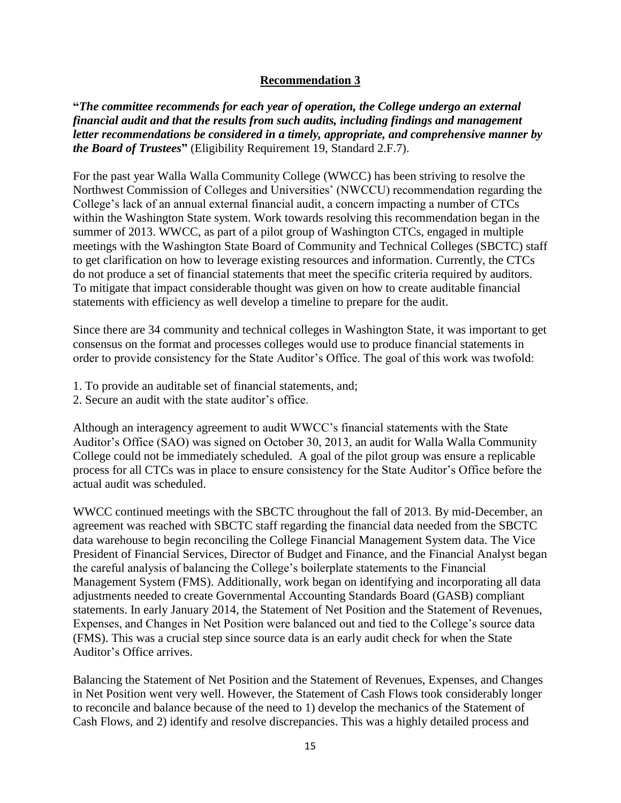### **Recommendation 3**

**"***The committee recommends for each year of operation, the College undergo an external financial audit and that the results from such audits, including findings and management letter recommendations be considered in a timely, appropriate, and comprehensive manner by the Board of Trustees***"** (Eligibility Requirement 19, Standard 2.F.7).

For the past year Walla Walla Community College (WWCC) has been striving to resolve the Northwest Commission of Colleges and Universities' (NWCCU) recommendation regarding the College's lack of an annual external financial audit, a concern impacting a number of CTCs within the Washington State system. Work towards resolving this recommendation began in the summer of 2013. WWCC, as part of a pilot group of Washington CTCs, engaged in multiple meetings with the Washington State Board of Community and Technical Colleges (SBCTC) staff to get clarification on how to leverage existing resources and information. Currently, the CTCs do not produce a set of financial statements that meet the specific criteria required by auditors. To mitigate that impact considerable thought was given on how to create auditable financial statements with efficiency as well develop a timeline to prepare for the audit.

Since there are 34 community and technical colleges in Washington State, it was important to get consensus on the format and processes colleges would use to produce financial statements in order to provide consistency for the State Auditor's Office. The goal of this work was twofold:

- 1. To provide an auditable set of financial statements, and;
- 2. Secure an audit with the state auditor's office.

Although an interagency agreement to audit WWCC's financial statements with the State Auditor's Office (SAO) was signed on October 30, 2013, an audit for Walla Walla Community College could not be immediately scheduled. A goal of the pilot group was ensure a replicable process for all CTCs was in place to ensure consistency for the State Auditor's Office before the actual audit was scheduled.

WWCC continued meetings with the SBCTC throughout the fall of 2013. By mid-December, an agreement was reached with SBCTC staff regarding the financial data needed from the SBCTC data warehouse to begin reconciling the College Financial Management System data. The Vice President of Financial Services, Director of Budget and Finance, and the Financial Analyst began the careful analysis of balancing the College's boilerplate statements to the Financial Management System (FMS). Additionally, work began on identifying and incorporating all data adjustments needed to create Governmental Accounting Standards Board (GASB) compliant statements. In early January 2014, the Statement of Net Position and the Statement of Revenues, Expenses, and Changes in Net Position were balanced out and tied to the College's source data (FMS). This was a crucial step since source data is an early audit check for when the State Auditor's Office arrives.

Balancing the Statement of Net Position and the Statement of Revenues, Expenses, and Changes in Net Position went very well. However, the Statement of Cash Flows took considerably longer to reconcile and balance because of the need to 1) develop the mechanics of the Statement of Cash Flows, and 2) identify and resolve discrepancies. This was a highly detailed process and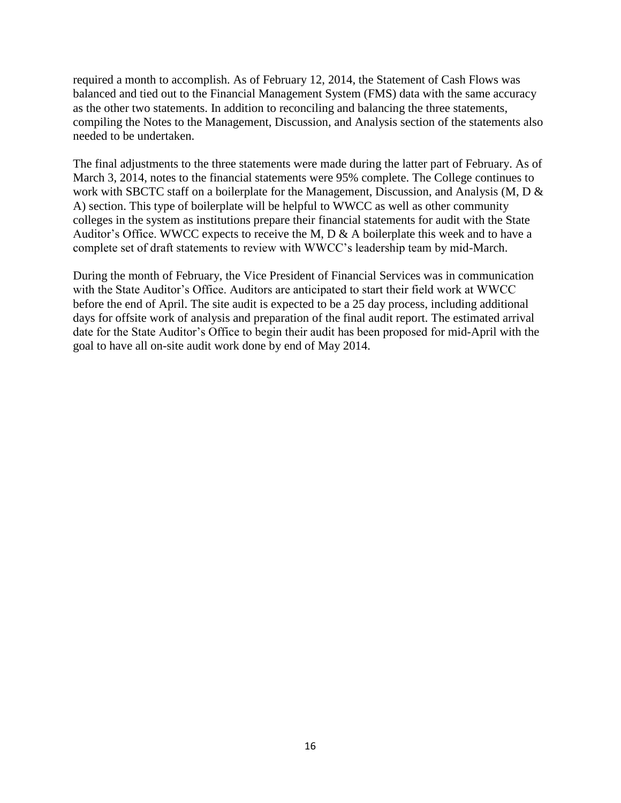required a month to accomplish. As of February 12, 2014, the Statement of Cash Flows was balanced and tied out to the Financial Management System (FMS) data with the same accuracy as the other two statements. In addition to reconciling and balancing the three statements, compiling the Notes to the Management, Discussion, and Analysis section of the statements also needed to be undertaken.

The final adjustments to the three statements were made during the latter part of February. As of March 3, 2014, notes to the financial statements were 95% complete. The College continues to work with SBCTC staff on a boilerplate for the Management, Discussion, and Analysis (M, D & A) section. This type of boilerplate will be helpful to WWCC as well as other community colleges in the system as institutions prepare their financial statements for audit with the State Auditor's Office. WWCC expects to receive the M, D & A boilerplate this week and to have a complete set of draft statements to review with WWCC's leadership team by mid-March.

During the month of February, the Vice President of Financial Services was in communication with the State Auditor's Office. Auditors are anticipated to start their field work at WWCC before the end of April. The site audit is expected to be a 25 day process, including additional days for offsite work of analysis and preparation of the final audit report. The estimated arrival date for the State Auditor's Office to begin their audit has been proposed for mid-April with the goal to have all on-site audit work done by end of May 2014.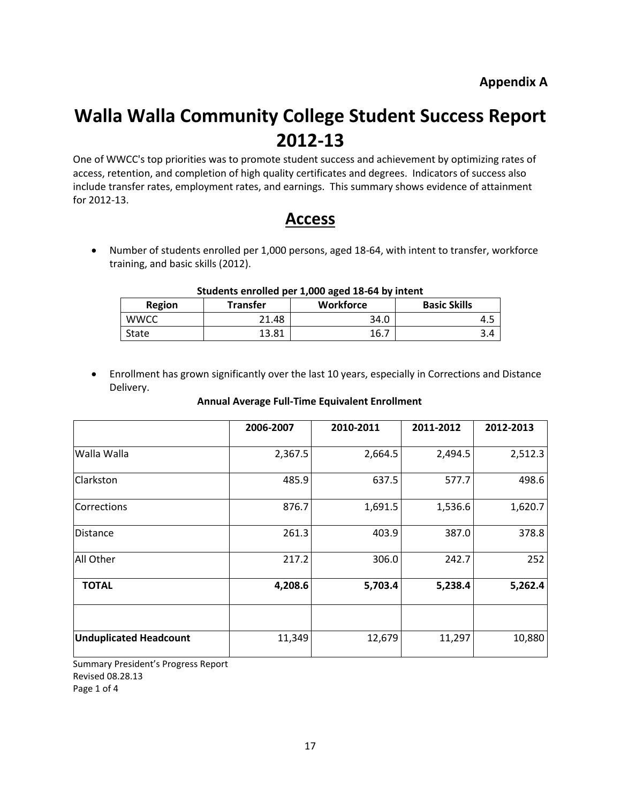# **Walla Walla Community College Student Success Report 2012-13**

One of WWCC's top priorities was to promote student success and achievement by optimizing rates of access, retention, and completion of high quality certificates and degrees. Indicators of success also include transfer rates, employment rates, and earnings. This summary shows evidence of attainment for 2012-13.

# **Access**

 Number of students enrolled per 1,000 persons, aged 18-64, with intent to transfer, workforce training, and basic skills (2012).

| <b>Region</b> | <b>Transfer</b> | Workforce | <b>Basic Skills</b> |  |
|---------------|-----------------|-----------|---------------------|--|
| <b>WWCC</b>   | 21.48           | 34.0      |                     |  |
| State         | 13.81           | 16.7      |                     |  |

### **Students enrolled per 1,000 aged 18-64 by intent**

 Enrollment has grown significantly over the last 10 years, especially in Corrections and Distance Delivery.

#### **Annual Average Full-Time Equivalent Enrollment**

|                               | 2006-2007 | 2010-2011 | 2011-2012 | 2012-2013 |
|-------------------------------|-----------|-----------|-----------|-----------|
| Walla Walla                   | 2,367.5   | 2,664.5   | 2,494.5   | 2,512.3   |
| Clarkston                     | 485.9     | 637.5     | 577.7     | 498.6     |
| Corrections                   | 876.7     | 1,691.5   | 1,536.6   | 1,620.7   |
| <b>Distance</b>               | 261.3     | 403.9     | 387.0     | 378.8     |
| All Other                     | 217.2     | 306.0     | 242.7     | 252       |
| <b>TOTAL</b>                  | 4,208.6   | 5,703.4   | 5,238.4   | 5,262.4   |
|                               |           |           |           |           |
| <b>Unduplicated Headcount</b> | 11,349    | 12,679    | 11,297    | 10,880    |

Summary President's Progress Report Revised 08.28.13 Page 1 of 4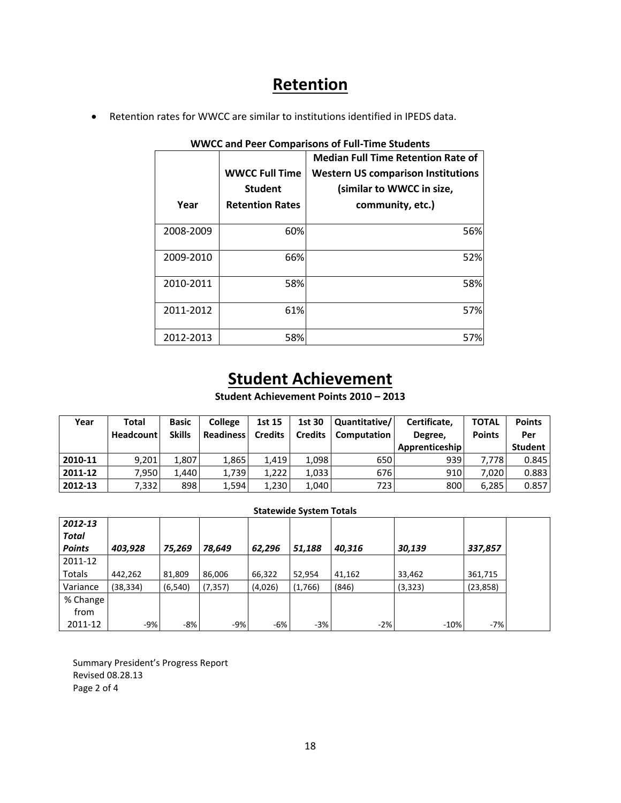# **Retention**

Retention rates for WWCC are similar to institutions identified in IPEDS data.

|           |                        | <b>Median Full Time Retention Rate of</b> |
|-----------|------------------------|-------------------------------------------|
|           | <b>WWCC Full Time</b>  | <b>Western US comparison Institutions</b> |
|           | <b>Student</b>         | (similar to WWCC in size,                 |
| Year      | <b>Retention Rates</b> | community, etc.)                          |
|           |                        |                                           |
| 2008-2009 | 60%                    | 56%                                       |
|           |                        |                                           |
| 2009-2010 | 66%                    | 52%                                       |
|           |                        |                                           |
| 2010-2011 | 58%                    | 58%                                       |
|           |                        |                                           |
| 2011-2012 | 61%                    | 57%                                       |
|           |                        |                                           |
| 2012-2013 | 58%                    | 57%                                       |

### **WWCC and Peer Comparisons of Full-Time Students**

# **Student Achievement**

**Student Achievement Points 2010 – 2013**

| Year    | Total<br><b>Headcount</b> | <b>Basic</b><br><b>Skills</b> | <b>College</b><br><b>Readiness</b> | 1st 15<br><b>Credits</b> | 1st 30<br><b>Credits</b> | Quantitative/<br>Computation | Certificate.<br>Degree, | <b>TOTAL</b><br><b>Points</b> | <b>Points</b><br>Per |
|---------|---------------------------|-------------------------------|------------------------------------|--------------------------|--------------------------|------------------------------|-------------------------|-------------------------------|----------------------|
|         |                           |                               |                                    |                          |                          |                              | Apprenticeship          |                               | <b>Student</b>       |
| 2010-11 | 9.201                     | 1.807                         | 1.865                              | 1.419                    | 1.098                    | 650                          | 939                     | 7.778                         | 0.845                |
| 2011-12 | 7.950                     | 1.440                         | 1,739                              | 1.222                    | 1.033                    | 676                          | 910                     | 7.020                         | 0.883                |
| 2012-13 | 7,332                     | 898                           | 1,594                              | 1.230                    | 1,040                    | 723 I                        | 800                     | 6,285                         | 0.857                |

#### **Statewide System Totals**

| 2012-13                       |           |          |          |         |         |        |          |           |
|-------------------------------|-----------|----------|----------|---------|---------|--------|----------|-----------|
| <b>Total</b><br><b>Points</b> | 403,928   | 75,269   | 78,649   | 62,296  | 51,188  | 40,316 | 30,139   | 337,857   |
| 2011-12                       |           |          |          |         |         |        |          |           |
| Totals                        | 442,262   | 81,809   | 86,006   | 66,322  | 52,954  | 41,162 | 33,462   | 361,715   |
| Variance                      | (38, 334) | (6, 540) | (7, 357) | (4,026) | (1,766) | (846)  | (3, 323) | (23, 858) |
| % Change                      |           |          |          |         |         |        |          |           |
| from                          |           |          |          |         |         |        |          |           |
| 2011-12                       | -9%       | $-8%$    | $-9%$    | $-6%$   | $-3%$   | $-2%$  | $-10%$   | $-7%$     |

Summary President's Progress Report Revised 08.28.13 Page 2 of 4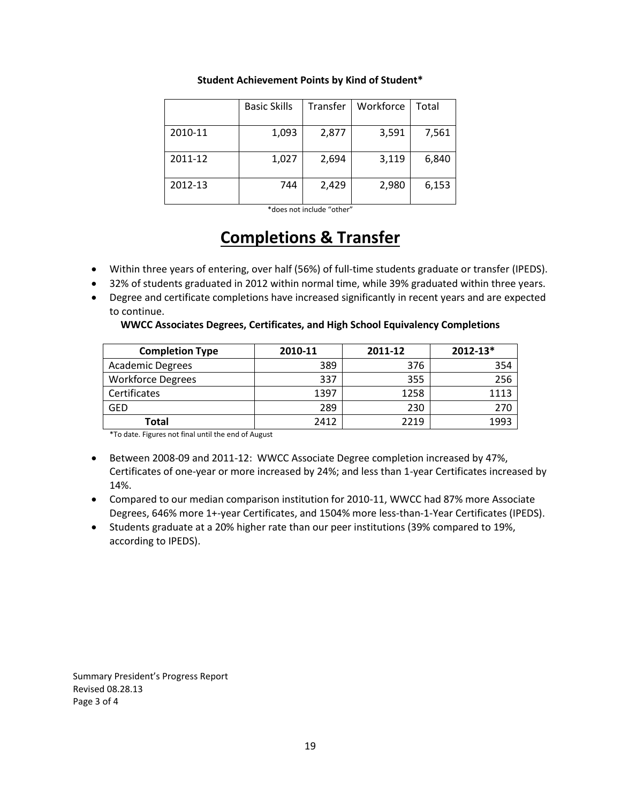|         | <b>Basic Skills</b> | Transfer | Workforce | Total |
|---------|---------------------|----------|-----------|-------|
| 2010-11 | 1,093               | 2,877    | 3,591     | 7,561 |
| 2011-12 | 1,027               | 2,694    | 3,119     | 6,840 |
| 2012-13 | 744                 | 2,429    | 2,980     | 6,153 |

#### **Student Achievement Points by Kind of Student\***

\*does not include "other"

# **Completions & Transfer**

- Within three years of entering, over half (56%) of full-time students graduate or transfer (IPEDS).
- 32% of students graduated in 2012 within normal time, while 39% graduated within three years.
- Degree and certificate completions have increased significantly in recent years and are expected to continue.

#### **WWCC Associates Degrees, Certificates, and High School Equivalency Completions**

| <b>Completion Type</b>   | 2010-11 | 2011-12 | $2012 - 13*$ |
|--------------------------|---------|---------|--------------|
| <b>Academic Degrees</b>  | 389     | 376     | 354          |
| <b>Workforce Degrees</b> | 337     | 355     | 256          |
| Certificates             | 1397    | 1258    | 1113         |
| <b>GED</b>               | 289     | 230     | 270          |
| Total                    | 2412    | 2219    | 1993         |

\*To date. Figures not final until the end of August

- Between 2008-09 and 2011-12: WWCC Associate Degree completion increased by 47%, Certificates of one-year or more increased by 24%; and less than 1-year Certificates increased by 14%.
- Compared to our median comparison institution for 2010-11, WWCC had 87% more Associate Degrees, 646% more 1+-year Certificates, and 1504% more less-than-1-Year Certificates (IPEDS).
- Students graduate at a 20% higher rate than our peer institutions (39% compared to 19%, according to IPEDS).

Summary President's Progress Report Revised 08.28.13 Page 3 of 4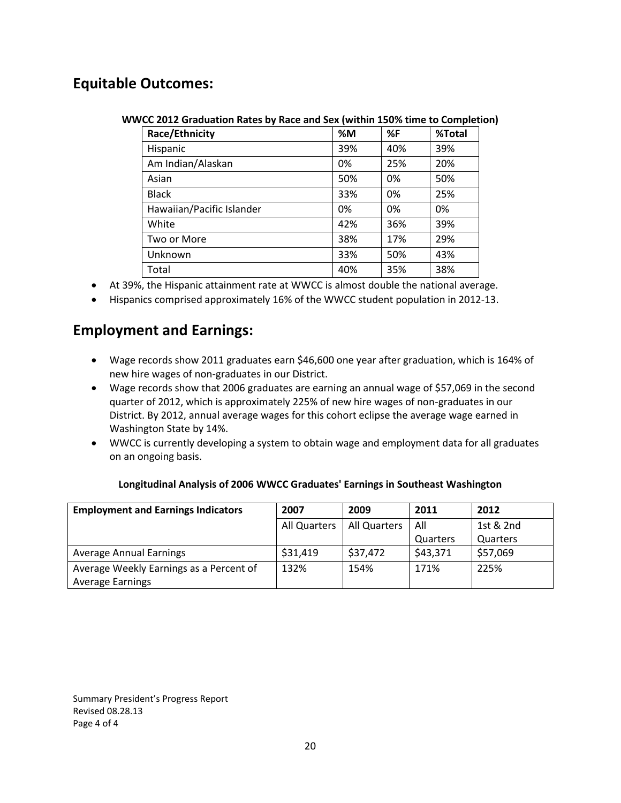# **Equitable Outcomes:**

| WWCC 2012 Graduation Rates by Race and Sex (within 150% time to Completion) |  |  |  |  |
|-----------------------------------------------------------------------------|--|--|--|--|
|-----------------------------------------------------------------------------|--|--|--|--|

| Race/Ethnicity            | %M  | %F  | %Total |
|---------------------------|-----|-----|--------|
| Hispanic                  | 39% | 40% | 39%    |
| Am Indian/Alaskan         | 0%  | 25% | 20%    |
| Asian                     | 50% | 0%  | 50%    |
| <b>Black</b>              | 33% | 0%  | 25%    |
| Hawaiian/Pacific Islander | 0%  | 0%  | 0%     |
| White                     | 42% | 36% | 39%    |
| Two or More               | 38% | 17% | 29%    |
| Unknown                   | 33% | 50% | 43%    |
| Total                     | 40% | 35% | 38%    |

- At 39%, the Hispanic attainment rate at WWCC is almost double the national average.
- Hispanics comprised approximately 16% of the WWCC student population in 2012-13.

# **Employment and Earnings:**

- Wage records show 2011 graduates earn \$46,600 one year after graduation, which is 164% of new hire wages of non-graduates in our District.
- Wage records show that 2006 graduates are earning an annual wage of \$57,069 in the second quarter of 2012, which is approximately 225% of new hire wages of non-graduates in our District. By 2012, annual average wages for this cohort eclipse the average wage earned in Washington State by 14%.
- WWCC is currently developing a system to obtain wage and employment data for all graduates on an ongoing basis.

| Longitudinal Analysis of 2006 WWCC Graduates' Earnings in Southeast Washington |  |
|--------------------------------------------------------------------------------|--|
|                                                                                |  |

| <b>Employment and Earnings Indicators</b> | 2007         | 2009                | 2011     | 2012      |
|-------------------------------------------|--------------|---------------------|----------|-----------|
|                                           | All Quarters | <b>All Quarters</b> | All      | 1st & 2nd |
|                                           |              |                     | Quarters | Quarters  |
| <b>Average Annual Earnings</b>            | \$31,419     | \$37,472            | \$43,371 | \$57,069  |
| Average Weekly Earnings as a Percent of   | 132%         | 154%                | 171%     | 225%      |
| <b>Average Earnings</b>                   |              |                     |          |           |

Summary President's Progress Report Revised 08.28.13 Page 4 of 4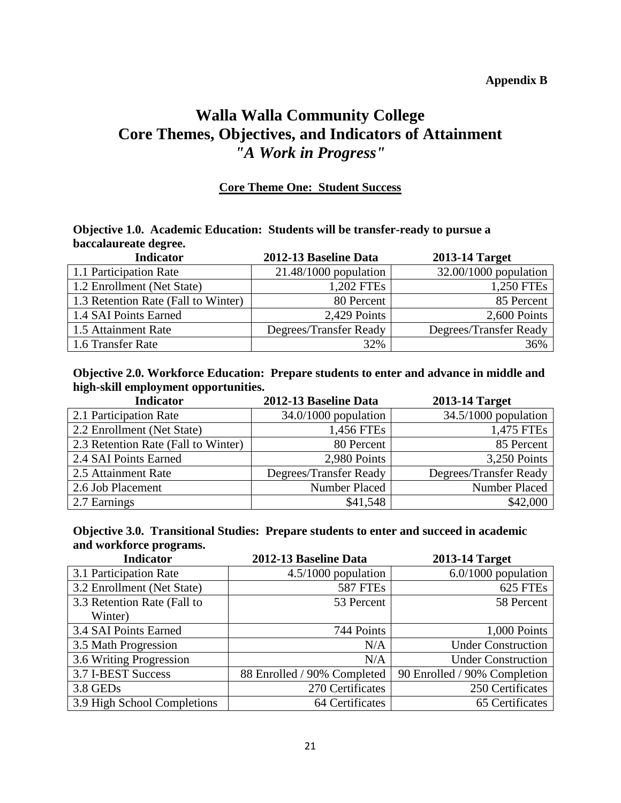### **Appendix B**

# **Walla Walla Community College Core Themes, Objectives, and Indicators of Attainment** *"A Work in Progress"*

### **Core Theme One: Student Success**

### **Objective 1.0. Academic Education: Students will be transfer-ready to pursue a baccalaureate degree.**

| <b>Indicator</b>                    | 2012-13 Baseline Data   | <b>2013-14 Target</b>   |
|-------------------------------------|-------------------------|-------------------------|
| 1.1 Participation Rate              | $21.48/1000$ population | $32.00/1000$ population |
| 1.2 Enrollment (Net State)          | 1,202 FTEs              | 1,250 FTEs              |
| 1.3 Retention Rate (Fall to Winter) | 80 Percent              | 85 Percent              |
| 1.4 SAI Points Earned               | 2,429 Points            | 2,600 Points            |
| 1.5 Attainment Rate                 | Degrees/Transfer Ready  | Degrees/Transfer Ready  |
| 1.6 Transfer Rate                   | 32%                     | 36%                     |

### **Objective 2.0. Workforce Education: Prepare students to enter and advance in middle and high-skill employment opportunities.**

| <b>Indicator</b>                    | 2012-13 Baseline Data  | <b>2013-14 Target</b>  |
|-------------------------------------|------------------------|------------------------|
| 2.1 Participation Rate              | $34.0/1000$ population | $34.5/1000$ population |
| 2.2 Enrollment (Net State)          | 1,456 FTEs             | 1,475 FTEs             |
| 2.3 Retention Rate (Fall to Winter) | 80 Percent             | 85 Percent             |
| 2.4 SAI Points Earned               | 2,980 Points           | 3,250 Points           |
| 2.5 Attainment Rate                 | Degrees/Transfer Ready | Degrees/Transfer Ready |
| 2.6 Job Placement                   | Number Placed          | <b>Number Placed</b>   |
| 2.7 Earnings                        | \$41,548               | \$42,000               |

### **Objective 3.0. Transitional Studies: Prepare students to enter and succeed in academic and workforce programs.**

| <b>Indicator</b>            | 2012-13 Baseline Data       | 2013-14 Target               |
|-----------------------------|-----------------------------|------------------------------|
| 3.1 Participation Rate      | $4.5/1000$ population       | $6.0/1000$ population        |
| 3.2 Enrollment (Net State)  | <b>587 FTEs</b>             | 625 FTEs                     |
| 3.3 Retention Rate (Fall to | 53 Percent                  | 58 Percent                   |
| Winter)                     |                             |                              |
| 3.4 SAI Points Earned       | 744 Points                  | 1,000 Points                 |
| 3.5 Math Progression        | N/A                         | <b>Under Construction</b>    |
| 3.6 Writing Progression     | N/A                         | <b>Under Construction</b>    |
| 3.7 I-BEST Success          | 88 Enrolled / 90% Completed | 90 Enrolled / 90% Completion |
| 3.8 GEDs                    | 270 Certificates            | 250 Certificates             |
| 3.9 High School Completions | 64 Certificates             | 65 Certificates              |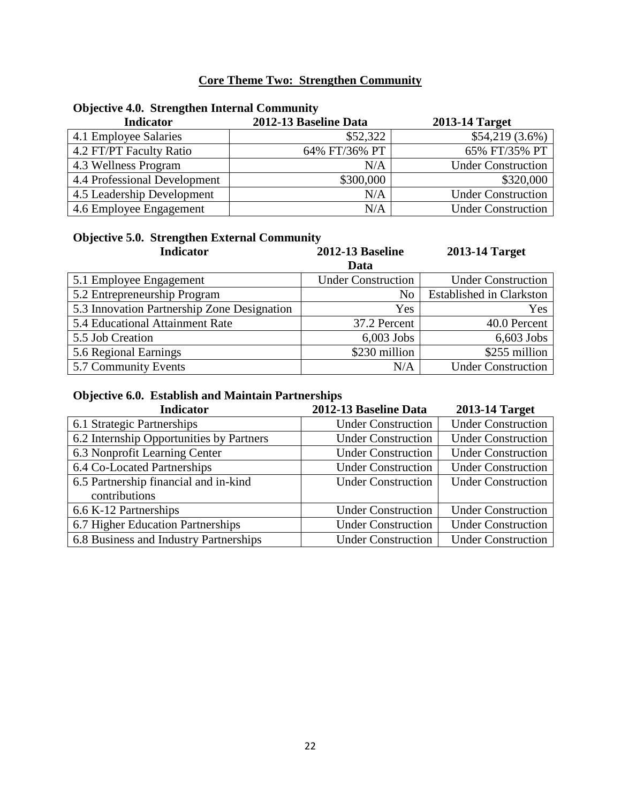# **Core Theme Two: Strengthen Community**

# **Objective 4.0. Strengthen Internal Community**

| <b>Indicator</b>             | 2012-13 Baseline Data | <b>2013-14 Target</b>     |
|------------------------------|-----------------------|---------------------------|
| 4.1 Employee Salaries        | \$52,322              | $$54,219(3.6\%)$          |
| 4.2 FT/PT Faculty Ratio      | 64% FT/36% PT         | 65% FT/35% PT             |
| 4.3 Wellness Program         | N/A                   | <b>Under Construction</b> |
| 4.4 Professional Development | \$300,000             | \$320,000                 |
| 4.5 Leadership Development   | N/A                   | <b>Under Construction</b> |
| 4.6 Employee Engagement      | N/A                   | <b>Under Construction</b> |

| <b>Objective 5.0. Strengthen External Community</b> |                           |                                 |  |
|-----------------------------------------------------|---------------------------|---------------------------------|--|
| <b>Indicator</b>                                    | <b>2012-13 Baseline</b>   | 2013-14 Target                  |  |
|                                                     | Data                      |                                 |  |
| 5.1 Employee Engagement                             | <b>Under Construction</b> | <b>Under Construction</b>       |  |
| 5.2 Entrepreneurship Program                        | No                        | <b>Established in Clarkston</b> |  |
| 5.3 Innovation Partnership Zone Designation         | Yes                       | Yes                             |  |
| 5.4 Educational Attainment Rate                     | 37.2 Percent              | 40.0 Percent                    |  |
| 5.5 Job Creation                                    | $6,003$ Jobs              | $6,603$ Jobs                    |  |
| 5.6 Regional Earnings                               | \$230 million             | \$255 million                   |  |
| 5.7 Community Events                                | N/A                       | <b>Under Construction</b>       |  |

### **Objective 6.0. Establish and Maintain Partnerships**

| <b>Indicator</b>                         | 2012-13 Baseline Data     | 2013-14 Target            |
|------------------------------------------|---------------------------|---------------------------|
| 6.1 Strategic Partnerships               | <b>Under Construction</b> | <b>Under Construction</b> |
| 6.2 Internship Opportunities by Partners | <b>Under Construction</b> | <b>Under Construction</b> |
| 6.3 Nonprofit Learning Center            | <b>Under Construction</b> | <b>Under Construction</b> |
| 6.4 Co-Located Partnerships              | <b>Under Construction</b> | <b>Under Construction</b> |
| 6.5 Partnership financial and in-kind    | <b>Under Construction</b> | <b>Under Construction</b> |
| contributions                            |                           |                           |
| 6.6 K-12 Partnerships                    | <b>Under Construction</b> | <b>Under Construction</b> |
| 6.7 Higher Education Partnerships        | <b>Under Construction</b> | <b>Under Construction</b> |
| 6.8 Business and Industry Partnerships   | <b>Under Construction</b> | <b>Under Construction</b> |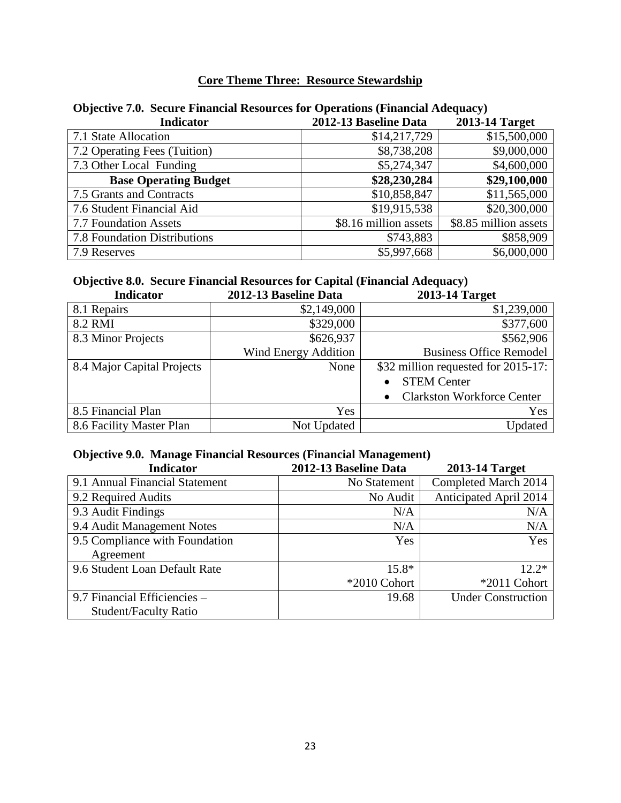## **Core Theme Three: Resource Stewardship**

| <b>Indicator</b>             | 2012-13 Baseline Data | 2013-14 Target        |
|------------------------------|-----------------------|-----------------------|
| 7.1 State Allocation         | \$14,217,729          | \$15,500,000          |
| 7.2 Operating Fees (Tuition) | \$8,738,208           | \$9,000,000           |
| 7.3 Other Local Funding      | \$5,274,347           | \$4,600,000           |
| <b>Base Operating Budget</b> | \$28,230,284          | \$29,100,000          |
| 7.5 Grants and Contracts     | \$10,858,847          | \$11,565,000          |
| 7.6 Student Financial Aid    | \$19,915,538          | \$20,300,000          |
| 7.7 Foundation Assets        | \$8.16 million assets | \$8.85 million assets |
| 7.8 Foundation Distributions | \$743,883             | \$858,909             |
| 7.9 Reserves                 | \$5,997,668           | \$6,000,000           |

## **Objective 7.0. Secure Financial Resources for Operations (Financial Adequacy)**

# **Objective 8.0. Secure Financial Resources for Capital (Financial Adequacy)**

| <b>Indicator</b>           | 2012-13 Baseline Data | 2013-14 Target                                 |
|----------------------------|-----------------------|------------------------------------------------|
| 8.1 Repairs                | \$2,149,000           | \$1,239,000                                    |
| 8.2 RMI                    | \$329,000             | \$377,600                                      |
| 8.3 Minor Projects         | \$626,937             | \$562,906                                      |
|                            | Wind Energy Addition  | <b>Business Office Remodel</b>                 |
| 8.4 Major Capital Projects | None                  | \$32 million requested for 2015-17:            |
|                            |                       | <b>STEM Center</b><br>$\bullet$                |
|                            |                       | <b>Clarkston Workforce Center</b><br>$\bullet$ |
| 8.5 Financial Plan         | Yes                   | Yes                                            |
| 8.6 Facility Master Plan   | Not Updated           | Updated                                        |

# **Objective 9.0. Manage Financial Resources (Financial Management)**

| <b>Indicator</b>               | 2012-13 Baseline Data | <b>2013-14 Target</b>         |
|--------------------------------|-----------------------|-------------------------------|
| 9.1 Annual Financial Statement | No Statement          | Completed March 2014          |
| 9.2 Required Audits            | No Audit              | <b>Anticipated April 2014</b> |
| 9.3 Audit Findings             | N/A                   | N/A                           |
| 9.4 Audit Management Notes     | N/A                   | N/A                           |
| 9.5 Compliance with Foundation | Yes                   | Yes                           |
| Agreement                      |                       |                               |
| 9.6 Student Loan Default Rate  | $15.8*$               | $12.2*$                       |
|                                | *2010 Cohort          | *2011 Cohort                  |
| 9.7 Financial Efficiencies -   | 19.68                 | <b>Under Construction</b>     |
| <b>Student/Faculty Ratio</b>   |                       |                               |